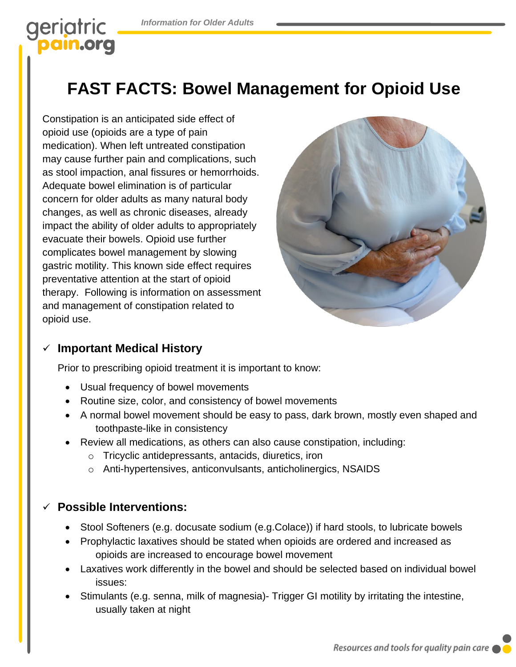# geriatric

# **FAST FACTS: Bowel Management for Opioid Use**

Constipation is an anticipated side effect of opioid use (opioids are a type of pain medication). When left untreated constipation may cause further pain and complications, such as stool impaction, anal fissures or hemorrhoids. Adequate bowel elimination is of particular concern for older adults as many natural body changes, as well as chronic diseases, already impact the ability of older adults to appropriately evacuate their bowels. Opioid use further complicates bowel management by slowing gastric motility. This known side effect requires preventative attention at the start of opioid therapy. Following is information on assessment and management of constipation related to opioid use.



## ✓ **Important Medical History**

Prior to prescribing opioid treatment it is important to know:

- Usual frequency of bowel movements
- Routine size, color, and consistency of bowel movements
- A normal bowel movement should be easy to pass, dark brown, mostly even shaped and toothpaste-like in consistency
- Review all medications, as others can also cause constipation, including:
	- o Tricyclic antidepressants, antacids, diuretics, iron
	- o Anti-hypertensives, anticonvulsants, anticholinergics, NSAIDS

### **Possible Interventions:**

- Stool Softeners (e.g. docusate sodium (e.g.Colace)) if hard stools, to lubricate bowels
- Prophylactic laxatives should be stated when opioids are ordered and increased as opioids are increased to encourage bowel movement
- Laxatives work differently in the bowel and should be selected based on individual bowel issues:
- Stimulants (e.g. senna, milk of magnesia)- Trigger GI motility by irritating the intestine, usually taken at night